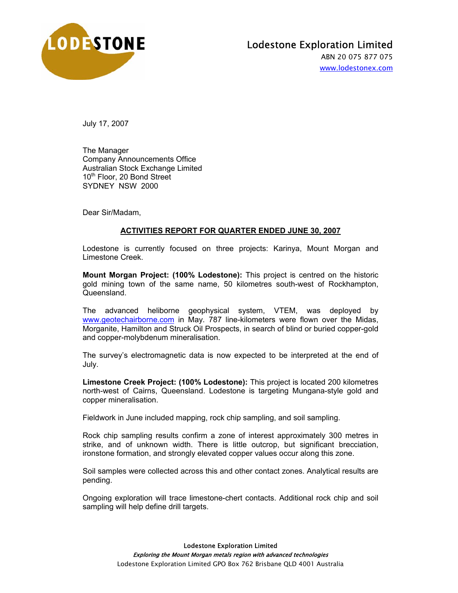

## Lodestone Exploration Limited

ABN 20 075 877 075 www.lodestonex.com

July 17, 2007

The Manager Company Announcements Office Australian Stock Exchange Limited 10<sup>th</sup> Floor, 20 Bond Street SYDNEY NSW 2000

Dear Sir/Madam,

## **ACTIVITIES REPORT FOR QUARTER ENDED JUNE 30, 2007**

Lodestone is currently focused on three projects: Karinya, Mount Morgan and Limestone Creek.

**Mount Morgan Project: (100% Lodestone):** This project is centred on the historic gold mining town of the same name, 50 kilometres south-west of Rockhampton, Queensland.

The advanced heliborne geophysical system, VTEM, was deployed by www.geotechairborne.com in May. 787 line-kilometers were flown over the Midas, Morganite, Hamilton and Struck Oil Prospects, in search of blind or buried copper-gold and copper-molybdenum mineralisation.

The survey's electromagnetic data is now expected to be interpreted at the end of July.

**Limestone Creek Project: (100% Lodestone):** This project is located 200 kilometres north-west of Cairns, Queensland. Lodestone is targeting Mungana-style gold and copper mineralisation.

Fieldwork in June included mapping, rock chip sampling, and soil sampling.

Rock chip sampling results confirm a zone of interest approximately 300 metres in strike, and of unknown width. There is little outcrop, but significant brecciation, ironstone formation, and strongly elevated copper values occur along this zone.

Soil samples were collected across this and other contact zones. Analytical results are pending.

Ongoing exploration will trace limestone-chert contacts. Additional rock chip and soil sampling will help define drill targets.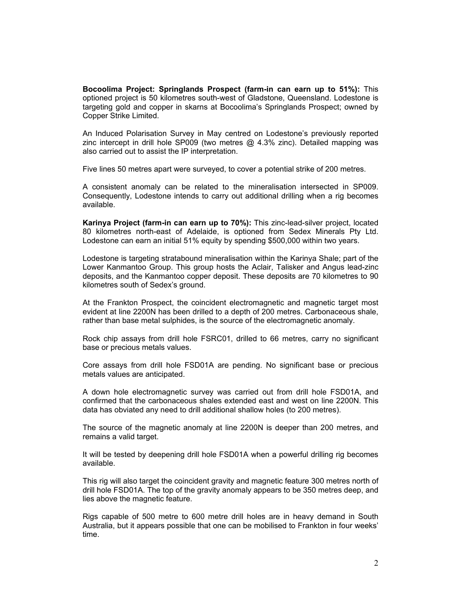**Bocoolima Project: Springlands Prospect (farm-in can earn up to 51%):** This optioned project is 50 kilometres south-west of Gladstone, Queensland. Lodestone is targeting gold and copper in skarns at Bocoolima's Springlands Prospect; owned by Copper Strike Limited.

An Induced Polarisation Survey in May centred on Lodestone's previously reported zinc intercept in drill hole SP009 (two metres  $\omega$  4.3% zinc). Detailed mapping was also carried out to assist the IP interpretation.

Five lines 50 metres apart were surveyed, to cover a potential strike of 200 metres.

A consistent anomaly can be related to the mineralisation intersected in SP009. Consequently, Lodestone intends to carry out additional drilling when a rig becomes available.

**Karinya Project (farm-in can earn up to 70%):** This zinc-lead-silver project, located 80 kilometres north-east of Adelaide, is optioned from Sedex Minerals Pty Ltd. Lodestone can earn an initial 51% equity by spending \$500,000 within two years.

Lodestone is targeting stratabound mineralisation within the Karinya Shale; part of the Lower Kanmantoo Group. This group hosts the Aclair, Talisker and Angus lead-zinc deposits, and the Kanmantoo copper deposit. These deposits are 70 kilometres to 90 kilometres south of Sedex's ground.

At the Frankton Prospect, the coincident electromagnetic and magnetic target most evident at line 2200N has been drilled to a depth of 200 metres. Carbonaceous shale, rather than base metal sulphides, is the source of the electromagnetic anomaly.

Rock chip assays from drill hole FSRC01, drilled to 66 metres, carry no significant base or precious metals values.

Core assays from drill hole FSD01A are pending. No significant base or precious metals values are anticipated.

A down hole electromagnetic survey was carried out from drill hole FSD01A, and confirmed that the carbonaceous shales extended east and west on line 2200N. This data has obviated any need to drill additional shallow holes (to 200 metres).

The source of the magnetic anomaly at line 2200N is deeper than 200 metres, and remains a valid target.

It will be tested by deepening drill hole FSD01A when a powerful drilling rig becomes available.

This rig will also target the coincident gravity and magnetic feature 300 metres north of drill hole FSD01A. The top of the gravity anomaly appears to be 350 metres deep, and lies above the magnetic feature.

Rigs capable of 500 metre to 600 metre drill holes are in heavy demand in South Australia, but it appears possible that one can be mobilised to Frankton in four weeks' time.